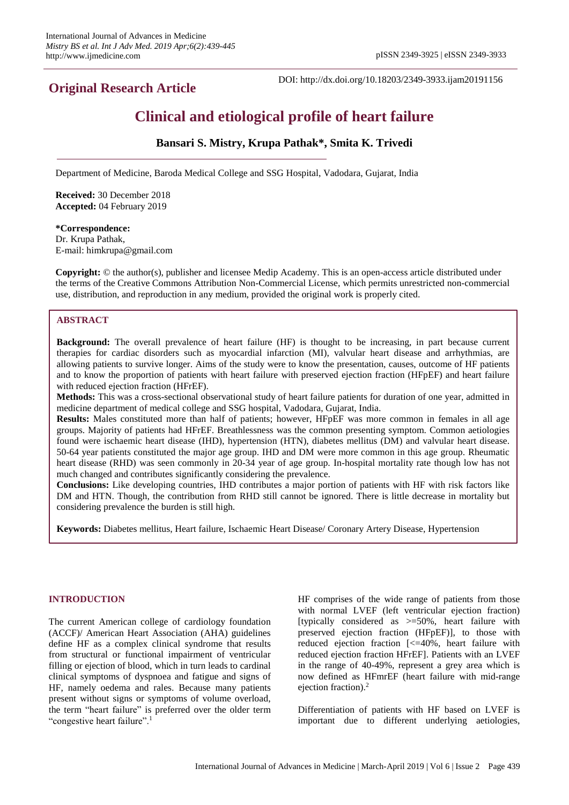## **Original Research Article**

DOI: http://dx.doi.org/10.18203/2349-3933.ijam20191156

# **Clinical and etiological profile of heart failure**

## **Bansari S. Mistry, Krupa Pathak\*, Smita K. Trivedi**

Department of Medicine, Baroda Medical College and SSG Hospital, Vadodara, Gujarat, India

**Received:** 30 December 2018 **Accepted:** 04 February 2019

## **\*Correspondence:** Dr. Krupa Pathak, E-mail: himkrupa@gmail.com

**Copyright:** © the author(s), publisher and licensee Medip Academy. This is an open-access article distributed under the terms of the Creative Commons Attribution Non-Commercial License, which permits unrestricted non-commercial use, distribution, and reproduction in any medium, provided the original work is properly cited.

## **ABSTRACT**

**Background:** The overall prevalence of heart failure (HF) is thought to be increasing, in part because current therapies for cardiac disorders such as myocardial infarction (MI), valvular heart disease and arrhythmias, are allowing patients to survive longer. Aims of the study were to know the presentation, causes, outcome of HF patients and to know the proportion of patients with heart failure with preserved ejection fraction (HFpEF) and heart failure with reduced ejection fraction (HFrEF).

**Methods:** This was a cross-sectional observational study of heart failure patients for duration of one year, admitted in medicine department of medical college and SSG hospital, Vadodara, Gujarat, India.

**Results:** Males constituted more than half of patients; however, HFpEF was more common in females in all age groups. Majority of patients had HFrEF. Breathlessness was the common presenting symptom. Common aetiologies found were ischaemic heart disease (IHD), hypertension (HTN), diabetes mellitus (DM) and valvular heart disease. 50-64 year patients constituted the major age group. IHD and DM were more common in this age group. Rheumatic heart disease (RHD) was seen commonly in 20-34 year of age group. In-hospital mortality rate though low has not much changed and contributes significantly considering the prevalence.

**Conclusions:** Like developing countries, IHD contributes a major portion of patients with HF with risk factors like DM and HTN. Though, the contribution from RHD still cannot be ignored. There is little decrease in mortality but considering prevalence the burden is still high.

**Keywords:** Diabetes mellitus, Heart failure, Ischaemic Heart Disease/ Coronary Artery Disease, Hypertension

## **INTRODUCTION**

The current American college of cardiology foundation (ACCF)/ American Heart Association (AHA) guidelines define HF as a complex clinical syndrome that results from structural or functional impairment of ventricular filling or ejection of blood, which in turn leads to cardinal clinical symptoms of dyspnoea and fatigue and signs of HF, namely oedema and rales. Because many patients present without signs or symptoms of volume overload, the term "heart failure" is preferred over the older term "congestive heart failure".<sup>1</sup>

HF comprises of the wide range of patients from those with normal LVEF (left ventricular ejection fraction) [typically considered as >=50%, heart failure with preserved ejection fraction (HFpEF)], to those with reduced ejection fraction [<=40%, heart failure with reduced ejection fraction HFrEF]. Patients with an LVEF in the range of 40-49%, represent a grey area which is now defined as HFmrEF (heart failure with mid-range ejection fraction).<sup>2</sup>

Differentiation of patients with HF based on LVEF is important due to different underlying aetiologies,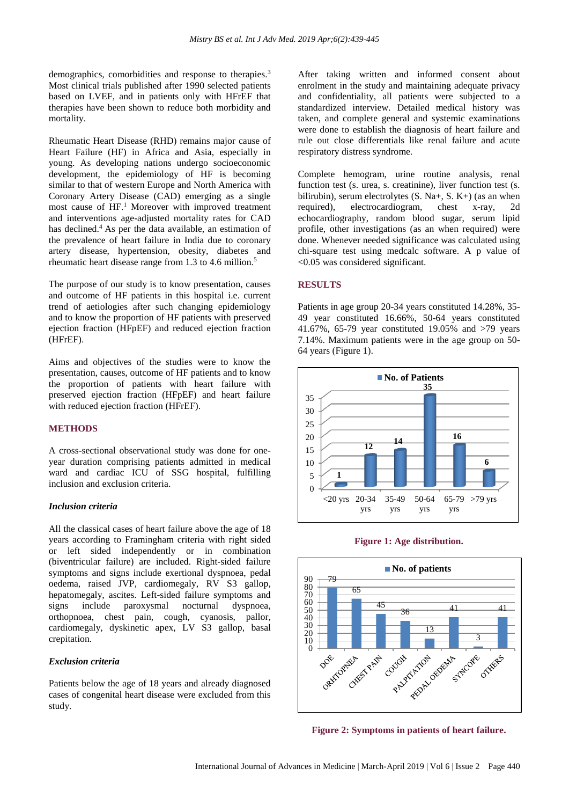demographics, comorbidities and response to therapies.<sup>3</sup> Most clinical trials published after 1990 selected patients based on LVEF, and in patients only with HFrEF that therapies have been shown to reduce both morbidity and mortality.

Rheumatic Heart Disease (RHD) remains major cause of Heart Failure (HF) in Africa and Asia, especially in young. As developing nations undergo socioeconomic development, the epidemiology of HF is becoming similar to that of western Europe and North America with Coronary Artery Disease (CAD) emerging as a single most cause of HF.<sup>1</sup> Moreover with improved treatment and interventions age-adjusted mortality rates for CAD has declined.<sup>4</sup> As per the data available, an estimation of the prevalence of heart failure in India due to coronary artery disease, hypertension, obesity, diabetes and rheumatic heart disease range from 1.3 to 4.6 million.<sup>5</sup>

The purpose of our study is to know presentation, causes and outcome of HF patients in this hospital i.e. current trend of aetiologies after such changing epidemiology and to know the proportion of HF patients with preserved ejection fraction (HFpEF) and reduced ejection fraction (HFrEF).

Aims and objectives of the studies were to know the presentation, causes, outcome of HF patients and to know the proportion of patients with heart failure with preserved ejection fraction (HFpEF) and heart failure with reduced ejection fraction (HFrEF).

## **METHODS**

A cross-sectional observational study was done for oneyear duration comprising patients admitted in medical ward and cardiac ICU of SSG hospital, fulfilling inclusion and exclusion criteria.

## *Inclusion criteria*

All the classical cases of heart failure above the age of 18 years according to Framingham criteria with right sided or left sided independently or in combination (biventricular failure) are included. Right-sided failure symptoms and signs include exertional dyspnoea, pedal oedema, raised JVP, cardiomegaly, RV S3 gallop, hepatomegaly, ascites. Left-sided failure symptoms and signs include paroxysmal nocturnal dyspnoea, orthopnoea, chest pain, cough, cyanosis, pallor, cardiomegaly, dyskinetic apex, LV S3 gallop, basal crepitation.

## *Exclusion criteria*

Patients below the age of 18 years and already diagnosed cases of congenital heart disease were excluded from this study.

After taking written and informed consent about enrolment in the study and maintaining adequate privacy and confidentiality, all patients were subjected to a standardized interview. Detailed medical history was taken, and complete general and systemic examinations were done to establish the diagnosis of heart failure and rule out close differentials like renal failure and acute respiratory distress syndrome.

Complete hemogram, urine routine analysis, renal function test (s. urea, s. creatinine), liver function test (s. bilirubin), serum electrolytes  $(S, Na+, S, K+)$  (as an when required), electrocardiogram, chest x-ray, 2d echocardiography, random blood sugar, serum lipid profile, other investigations (as an when required) were done. Whenever needed significance was calculated using chi-square test using medcalc software. A p value of <0.05 was considered significant.

#### **RESULTS**

Patients in age group 20-34 years constituted 14.28%, 35- 49 year constituted 16.66%, 50-64 years constituted 41.67%, 65-79 year constituted 19.05% and >79 years 7.14%. Maximum patients were in the age group on 50- 64 years (Figure 1).







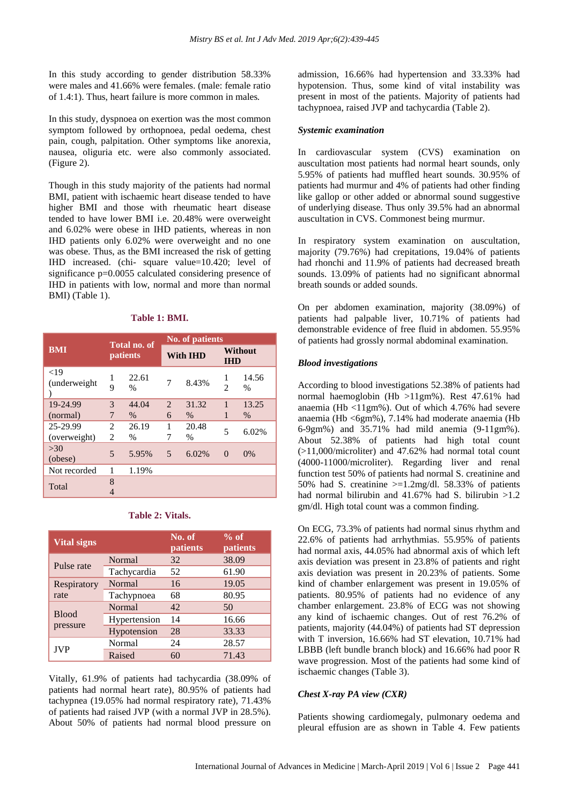In this study according to gender distribution 58.33% were males and 41.66% were females. (male: female ratio of 1.4:1). Thus, heart failure is more common in males*.*

In this study, dyspnoea on exertion was the most common symptom followed by orthopnoea, pedal oedema, chest pain, cough, palpitation. Other symptoms like anorexia, nausea, oliguria etc. were also commonly associated. (Figure 2).

Though in this study majority of the patients had normal BMI, patient with ischaemic heart disease tended to have higher BMI and those with rheumatic heart disease tended to have lower BMI i.e. 20.48% were overweight and 6.02% were obese in IHD patients, whereas in non IHD patients only 6.02% were overweight and no one was obese. Thus, as the BMI increased the risk of getting IHD increased. (chi- square value=10.420; level of significance p=0.0055 calculated considering presence of IHD in patients with low, normal and more than normal BMI) (Table 1).

## **Table 1: BMI.**

|                          |        |                          | <b>No. of patients</b> |                 |                     |                       |  |
|--------------------------|--------|--------------------------|------------------------|-----------------|---------------------|-----------------------|--|
| <b>BMI</b>               |        | Total no. of<br>patients |                        | <b>With IHD</b> |                     | Without<br><b>IHD</b> |  |
| ${<}19$<br>(underweight) | 1<br>9 | 22.61<br>$\frac{0}{0}$   | 7                      | 8.43%           | 1<br>$\mathfrak{D}$ | 14.56<br>$\%$         |  |
| 19-24.99                 | 3      | 44.04                    | 2                      | 31.32           | 1                   | 13.25                 |  |
| (normal)                 | 7      | $\%$                     | 6                      | $\frac{0}{0}$   | 1                   | $\%$                  |  |
| 25-29.99                 | 2      | 26.19                    | 1                      | 20.48           | 5                   | 6.02%                 |  |
| (overweight)             | 2      | $\%$                     | 7                      | $\frac{0}{0}$   |                     |                       |  |
| >30<br>(obese)           | 5      | 5.95%                    | 5                      | 6.02%           | $\theta$            | 0%                    |  |
| Not recorded             | 1      | 1.19%                    |                        |                 |                     |                       |  |
| Total                    | 8      |                          |                        |                 |                     |                       |  |

## **Table 2: Vitals.**

| <b>Vital signs</b>       |               | No. of<br>patients | $\%$ of<br>patients |
|--------------------------|---------------|--------------------|---------------------|
| Pulse rate               | Normal        | 32                 | 38.09               |
|                          | Tachycardia   | 52                 | 61.90               |
| Respiratory              | Normal        | 16                 | 19.05               |
| rate                     | Tachypnoea    | 68                 | 80.95               |
| <b>Blood</b><br>pressure | <b>Normal</b> | 42                 | 50                  |
|                          | Hypertension  | 14                 | 16.66               |
|                          | Hypotension   | 28                 | 33.33               |
| <b>JVP</b>               | Normal        | 24                 | 28.57               |
|                          | Raised        | 60                 | 71.43               |

Vitally, 61.9% of patients had tachycardia (38.09% of patients had normal heart rate), 80.95% of patients had tachypnea (19.05% had normal respiratory rate), 71.43% of patients had raised JVP (with a normal JVP in 28.5%). About 50% of patients had normal blood pressure on admission, 16.66% had hypertension and 33.33% had hypotension. Thus, some kind of vital instability was present in most of the patients. Majority of patients had tachypnoea, raised JVP and tachycardia (Table 2).

#### *Systemic examination*

In cardiovascular system (CVS) examination on auscultation most patients had normal heart sounds, only 5.95% of patients had muffled heart sounds. 30.95% of patients had murmur and 4% of patients had other finding like gallop or other added or abnormal sound suggestive of underlying disease. Thus only 39.5% had an abnormal auscultation in CVS. Commonest being murmur.

In respiratory system examination on auscultation, majority (79.76%) had crepitations, 19.04% of patients had rhonchi and 11.9% of patients had decreased breath sounds. 13.09% of patients had no significant abnormal breath sounds or added sounds.

On per abdomen examination, majority (38.09%) of patients had palpable liver, 10.71% of patients had demonstrable evidence of free fluid in abdomen. 55.95% of patients had grossly normal abdominal examination.

## *Blood investigations*

According to blood investigations 52.38% of patients had normal haemoglobin (Hb >11gm%). Rest 47.61% had anaemia (Hb <11gm%). Out of which 4.76% had severe anaemia (Hb <6gm%), 7.14% had moderate anaemia (Hb 6-9gm%) and 35.71% had mild anemia (9-11gm%). About 52.38% of patients had high total count (>11,000/microliter) and 47.62% had normal total count (4000-11000/microliter). Regarding liver and renal function test 50% of patients had normal S. creatinine and 50% had S. creatinine  $>=1.2 \text{mg/d}$ . 58.33% of patients had normal bilirubin and 41.67% had S. bilirubin >1.2 gm/dl. High total count was a common finding.

On ECG, 73.3% of patients had normal sinus rhythm and 22.6% of patients had arrhythmias. 55.95% of patients had normal axis, 44.05% had abnormal axis of which left axis deviation was present in 23.8% of patients and right axis deviation was present in 20.23% of patients. Some kind of chamber enlargement was present in 19.05% of patients. 80.95% of patients had no evidence of any chamber enlargement. 23.8% of ECG was not showing any kind of ischaemic changes. Out of rest 76.2% of patients, majority (44.04%) of patients had ST depression with T inversion, 16.66% had ST elevation, 10.71% had LBBB (left bundle branch block) and 16.66% had poor R wave progression. Most of the patients had some kind of ischaemic changes (Table 3).

## *Chest X-ray PA view (CXR)*

Patients showing cardiomegaly, pulmonary oedema and pleural effusion are as shown in Table 4. Few patients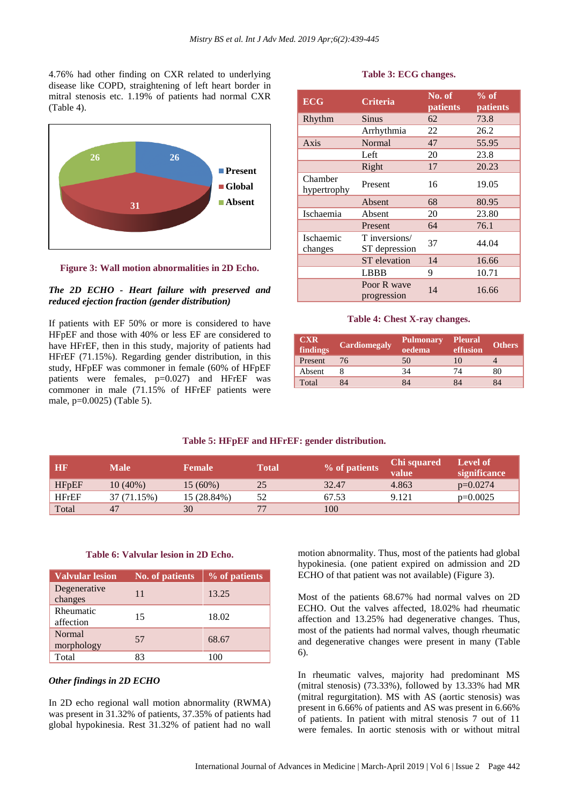4.76% had other finding on CXR related to underlying disease like COPD, straightening of left heart border in mitral stenosis etc. 1.19% of patients had normal CXR (Table 4).



**Figure 3: Wall motion abnormalities in 2D Echo.**

## *The 2D ECHO - Heart failure with preserved and reduced ejection fraction (gender distribution)*

If patients with EF 50% or more is considered to have HFpEF and those with 40% or less EF are considered to have HFrEF, then in this study, majority of patients had HFrEF (71.15%). Regarding gender distribution, in this study, HFpEF was commoner in female (60% of HFpEF patients were females, p=0.027) and HFrEF was commoner in male (71.15% of HFrEF patients were male, p=0.0025) (Table 5).

## **Table 3: ECG changes.**

| <b>ECG</b>             | <b>Criteria</b>                | No. of<br>patients | $%$ of<br>patients |  |
|------------------------|--------------------------------|--------------------|--------------------|--|
| Rhythm                 | Sinus                          | 62                 | 73.8               |  |
|                        | Arrhythmia                     | 22                 | 26.2               |  |
| Axis                   | Normal                         | 47                 | 55.95              |  |
|                        | Left                           | 20                 | 23.8               |  |
|                        | Right                          | 17                 | 20.23              |  |
| Chamber<br>hypertrophy | Present                        | 16                 | 19.05              |  |
|                        | Absent                         | 68                 | 80.95              |  |
| Ischaemia              | Absent                         | 20                 | 23.80              |  |
|                        | Present                        | 64                 | 76.1               |  |
| Ischaemic<br>changes   | T inversions/<br>ST depression | 37                 | 44.04              |  |
|                        | <b>ST</b> elevation            | 14                 | 16.66              |  |
|                        | <b>LBBB</b>                    | 9                  | 10.71              |  |
|                        | Poor R wave<br>progression     | 14                 | 16.66              |  |

#### **Table 4: Chest X-ray changes.**

| <b>CXR</b><br>findings | <b>Cardiomegaly</b> | <b>Pulmonary</b><br>oedema | <b>Pleural</b><br>effusion | <b>Others</b> |
|------------------------|---------------------|----------------------------|----------------------------|---------------|
| Present                | 76                  | 50                         | 10                         |               |
| Absent                 |                     | 34                         | 74                         | 80            |
| Total                  | 84                  | 84                         | 84                         | 84            |

#### **Table 5: HFpEF and HFrEF: gender distribution.**

| HB           | <b>Male</b> | <b>Female</b> | <b>Total</b> | % of patients | Chi squared<br>value | Level of<br>significance |
|--------------|-------------|---------------|--------------|---------------|----------------------|--------------------------|
| <b>HFpEF</b> | $10(40\%)$  | $15(60\%)$    | 25           | 32.47         | 4.863                | $p=0.0274$               |
| <b>HFrEF</b> | 37 (71.15%) | 15 (28.84%)   | 52           | 67.53         | 9.121                | $p=0.0025$               |
| Total        | 47          | 30            | 77           | 100           |                      |                          |

#### **Table 6: Valvular lesion in 2D Echo.**

| <b>Valvular lesion</b>      | <b>No. of patients</b> | % of patients |
|-----------------------------|------------------------|---------------|
| Degenerative<br>changes     | 11                     | 13.25         |
| Rheumatic<br>affection      | 15                     | 18.02         |
| <b>Normal</b><br>morphology | 57                     | 68.67         |
| Total                       | 83                     | 100           |

## *Other findings in 2D ECHO*

In 2D echo regional wall motion abnormality (RWMA) was present in 31.32% of patients, 37.35% of patients had global hypokinesia. Rest 31.32% of patient had no wall motion abnormality. Thus, most of the patients had global hypokinesia. (one patient expired on admission and 2D ECHO of that patient was not available) (Figure 3).

Most of the patients 68.67% had normal valves on 2D ECHO. Out the valves affected, 18.02% had rheumatic affection and 13.25% had degenerative changes. Thus, most of the patients had normal valves, though rheumatic and degenerative changes were present in many (Table 6).

In rheumatic valves, majority had predominant MS (mitral stenosis) (73.33%), followed by 13.33% had MR (mitral regurgitation). MS with AS (aortic stenosis) was present in 6.66% of patients and AS was present in 6.66% of patients. In patient with mitral stenosis 7 out of 11 were females. In aortic stenosis with or without mitral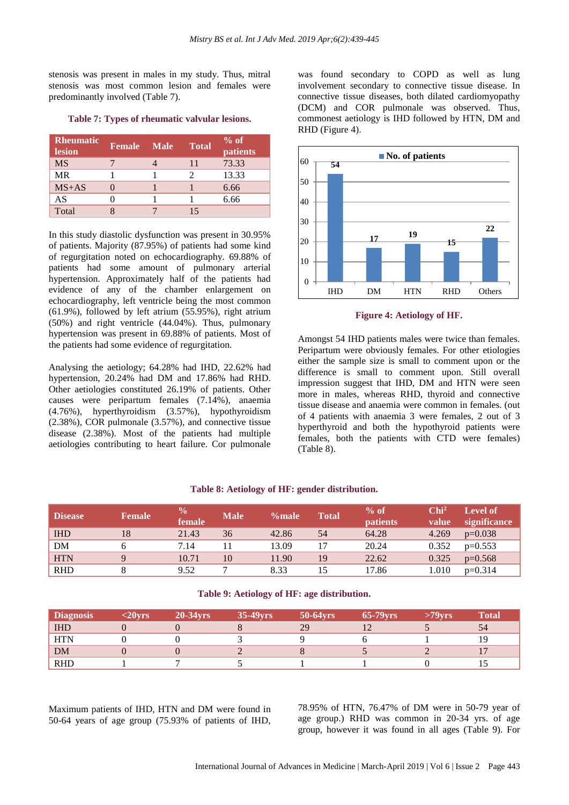stenosis was present in males in my study. Thus, mitral stenosis was most common lesion and females were predominantly involved (Table 7).

| Rheumatic<br><b>lesion</b> | Female | <b>Male</b> | <b>Total</b> | $%$ of<br>patients |
|----------------------------|--------|-------------|--------------|--------------------|
| <b>MS</b>                  |        |             | 11           | 73.33              |
| <b>MR</b>                  |        |             |              | 13.33              |
| $MS+AS$                    |        |             |              | 6.66               |
| AS                         |        |             |              | 6.66               |
| Total                      |        |             | 15           |                    |

**Table 7: Types of rheumatic valvular lesions.**

In this study diastolic dysfunction was present in 30.95% of patients. Majority (87.95%) of patients had some kind of regurgitation noted on echocardiography. 69.88% of patients had some amount of pulmonary arterial hypertension. Approximately half of the patients had evidence of any of the chamber enlargement on echocardiography, left ventricle being the most common (61.9%), followed by left atrium (55.95%), right atrium (50%) and right ventricle (44.04%). Thus, pulmonary hypertension was present in 69.88% of patients. Most of the patients had some evidence of regurgitation.

Analysing the aetiology; 64.28% had IHD, 22.62% had hypertension, 20.24% had DM and 17.86% had RHD. Other aetiologies constituted 26.19% of patients. Other causes were peripartum females (7.14%), anaemia (4.76%), hyperthyroidism (3.57%), hypothyroidism (2.38%), COR pulmonale (3.57%), and connective tissue disease (2.38%). Most of the patients had multiple aetiologies contributing to heart failure. Cor pulmonale was found secondary to COPD as well as lung involvement secondary to connective tissue disease. In connective tissue diseases, both dilated cardiomyopathy (DCM) and COR pulmonale was observed. Thus, commonest aetiology is IHD followed by HTN, DM and RHD (Figure 4).



**Figure 4: Aetiology of HF.**

Amongst 54 IHD patients males were twice than females. Peripartum were obviously females. For other etiologies either the sample size is small to comment upon or the difference is small to comment upon. Still overall impression suggest that IHD, DM and HTN were seen more in males, whereas RHD, thyroid and connective tissue disease and anaemia were common in females. (out of 4 patients with anaemia 3 were females, 2 out of 3 hyperthyroid and both the hypothyroid patients were females, both the patients with CTD were females) (Table 8).

| <b>Disease</b> | <b>Female</b> | $\frac{0}{0}$<br>female | <b>Male</b> | %male | <b>Total</b> | $%$ of<br><b>patients</b> | Chi <sup>2</sup><br>value | Level of<br>significance |
|----------------|---------------|-------------------------|-------------|-------|--------------|---------------------------|---------------------------|--------------------------|
| <b>IHD</b>     | 18            | 21.43                   | 36          | 42.86 | 54           | 64.28                     | 4.269                     | $p=0.038$                |
| DM             |               | 7.14                    |             | 13.09 | 17           | 20.24                     | 0.352                     | $p=0.553$                |
| <b>HTN</b>     | $\Omega$      | 10.71                   | 10          | 11.90 | 19           | 22.62                     | 0.325                     | $p=0.568$                |
| <b>RHD</b>     |               | 9.52                    |             | 8.33  |              | 17.86                     | 1.010                     | $p=0.314$                |

## **Table 8: Aetiology of HF: gender distribution.**

## **Table 9: Aetiology of HF: age distribution.**

| <b>Diagnosis</b> | $<$ 20 $vrs$ | <b>20-34yrs</b> | $35-49$ yrs | 50-64yrs | <b>65-79yrs</b> | $>79$ vrs | <b>Total</b> |
|------------------|--------------|-----------------|-------------|----------|-----------------|-----------|--------------|
| <b>IHD</b>       |              |                 |             | 29       |                 |           |              |
| <b>HTN</b>       |              |                 |             |          |                 |           |              |
| <b>DM</b>        |              |                 |             |          |                 |           |              |
| <b>RHD</b>       |              |                 |             |          |                 |           |              |

Maximum patients of IHD, HTN and DM were found in 50-64 years of age group (75.93% of patients of IHD, 78.95% of HTN, 76.47% of DM were in 50-79 year of age group.) RHD was common in 20-34 yrs. of age group, however it was found in all ages (Table 9). For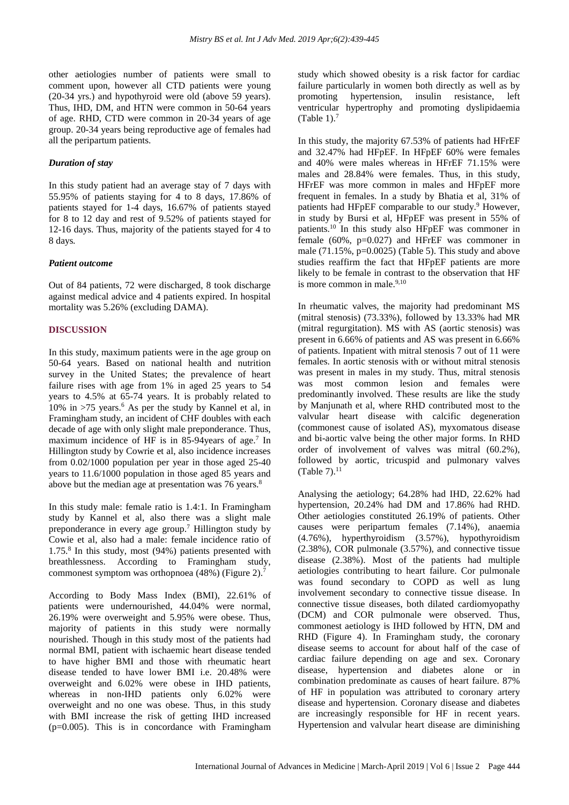other aetiologies number of patients were small to comment upon, however all CTD patients were young (20-34 yrs.) and hypothyroid were old (above 59 years). Thus, IHD, DM, and HTN were common in 50-64 years of age. RHD, CTD were common in 20-34 years of age group. 20-34 years being reproductive age of females had all the peripartum patients.

## *Duration of stay*

In this study patient had an average stay of 7 days with 55.95% of patients staying for 4 to 8 days, 17.86% of patients stayed for 1-4 days, 16.67% of patients stayed for 8 to 12 day and rest of 9.52% of patients stayed for 12-16 days. Thus, majority of the patients stayed for 4 to 8 days*.*

## *Patient outcome*

Out of 84 patients, 72 were discharged, 8 took discharge against medical advice and 4 patients expired. In hospital mortality was 5.26% (excluding DAMA).

## **DISCUSSION**

In this study, maximum patients were in the age group on 50-64 years. Based on national health and nutrition survey in the United States; the prevalence of heart failure rises with age from 1% in aged 25 years to 54 years to 4.5% at 65-74 years. It is probably related to  $10\%$  in >75 years.<sup>6</sup> As per the study by Kannel et al, in Framingham study, an incident of CHF doubles with each decade of age with only slight male preponderance. Thus, maximum incidence of HF is in 85-94 years of age.<sup>7</sup> In Hillington study by Cowrie et al, also incidence increases from 0.02/1000 population per year in those aged 25-40 years to 11.6/1000 population in those aged 85 years and above but the median age at presentation was 76 years.<sup>8</sup>

In this study male: female ratio is 1.4:1. In Framingham study by Kannel et al, also there was a slight male preponderance in every age group.<sup>7</sup> Hillington study by Cowie et al, also had a male: female incidence ratio of 1.75.<sup>8</sup> In this study, most (94%) patients presented with breathlessness. According to Framingham study, commonest symptom was orthopnoea (48%) (Figure 2). 7

According to Body Mass Index (BMI), 22.61% of patients were undernourished, 44.04% were normal, 26.19% were overweight and 5.95% were obese. Thus, majority of patients in this study were normally nourished. Though in this study most of the patients had normal BMI, patient with ischaemic heart disease tended to have higher BMI and those with rheumatic heart disease tended to have lower BMI i.e. 20.48% were overweight and 6.02% were obese in IHD patients, whereas in non-IHD patients only 6.02% were overweight and no one was obese. Thus, in this study with BMI increase the risk of getting IHD increased  $(p=0.005)$ . This is in concordance with Framingham study which showed obesity is a risk factor for cardiac failure particularly in women both directly as well as by promoting hypertension, insulin resistance, left ventricular hypertrophy and promoting dyslipidaemia (Table 1). $<sup>7</sup>$ </sup>

In this study, the majority 67.53% of patients had HFrEF and 32.47% had HFpEF. In HFpEF 60% were females and 40% were males whereas in HFrEF 71.15% were males and 28.84% were females. Thus, in this study, HFrEF was more common in males and HFpEF more frequent in females. In a study by Bhatia et al, 31% of patients had HFpEF comparable to our study.<sup>9</sup> However, in study by Bursi et al, HFpEF was present in 55% of patients.<sup>10</sup> In this study also HFpEF was commoner in female (60%, p=0.027) and HFrEF was commoner in male  $(71.15\%, p=0.0025)$  (Table 5). This study and above studies reaffirm the fact that HFpEF patients are more likely to be female in contrast to the observation that HF is more common in male.<sup>9,10</sup>

In rheumatic valves, the majority had predominant MS (mitral stenosis) (73.33%), followed by 13.33% had MR (mitral regurgitation). MS with AS (aortic stenosis) was present in 6.66% of patients and AS was present in 6.66% of patients. Inpatient with mitral stenosis 7 out of 11 were females. In aortic stenosis with or without mitral stenosis was present in males in my study. Thus, mitral stenosis was most common lesion and females were predominantly involved. These results are like the study by Manjunath et al, where RHD contributed most to the valvular heart disease with calcific degeneration (commonest cause of isolated AS), myxomatous disease and bi-aortic valve being the other major forms. In RHD order of involvement of valves was mitral (60.2%), followed by aortic, tricuspid and pulmonary valves  $(Table 7).<sup>11</sup>$ 

Analysing the aetiology; 64.28% had IHD, 22.62% had hypertension, 20.24% had DM and 17.86% had RHD. Other aetiologies constituted 26.19% of patients. Other causes were peripartum females (7.14%), anaemia (4.76%), hyperthyroidism (3.57%), hypothyroidism (2.38%), COR pulmonale (3.57%), and connective tissue disease (2.38%). Most of the patients had multiple aetiologies contributing to heart failure. Cor pulmonale was found secondary to COPD as well as lung involvement secondary to connective tissue disease. In connective tissue diseases, both dilated cardiomyopathy (DCM) and COR pulmonale were observed. Thus, commonest aetiology is IHD followed by HTN, DM and RHD (Figure 4). In Framingham study, the coronary disease seems to account for about half of the case of cardiac failure depending on age and sex. Coronary disease, hypertension and diabetes alone or in combination predominate as causes of heart failure. 87% of HF in population was attributed to coronary artery disease and hypertension. Coronary disease and diabetes are increasingly responsible for HF in recent years. Hypertension and valvular heart disease are diminishing